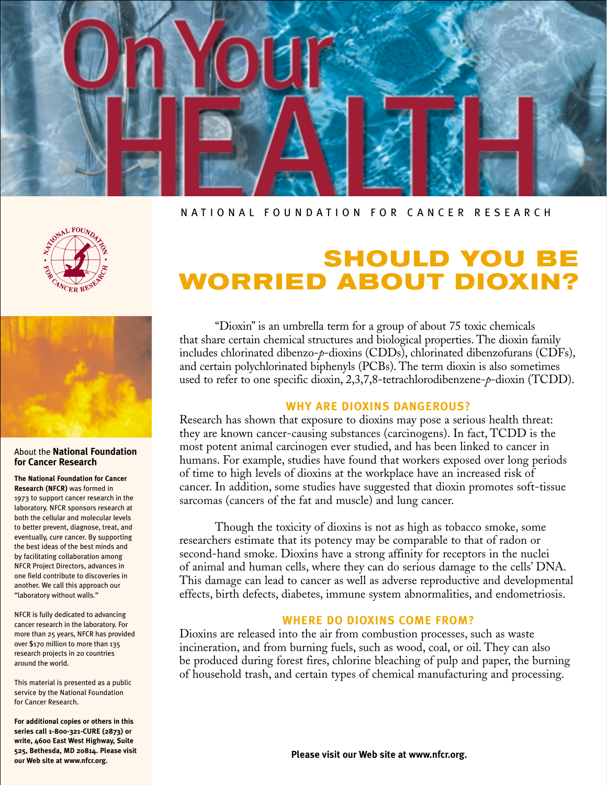

### NATIONAL FOUNDATION FOR CANCER RESEARCH





#### About the **National Foundation for Cancer Research**

#### **The National Foundation for Cancer Research (NFCR)** was formed in

1973 to support cancer research in the laboratory. NFCR sponsors research at both the cellular and molecular levels to better prevent, diagnose, treat, and eventually, cure cancer. By supporting the best ideas of the best minds and by facilitating collaboration among NFCR Project Directors, advances in one field contribute to discoveries in another. We call this approach our "laboratory without walls."

NFCR is fully dedicated to advancing cancer research in the laboratory. For more than 25 years, NFCR has provided over \$170 million to more than 135 research projects in 20 countries around the world.

This material is presented as a public service by the National Foundation for Cancer Research.

**For additional copies or others in this series call 1-800-321-CURE (2873) or write, 4600 East West Highway, Suite 525, Bethesda, MD 20814. Please visit our Web site at www.nfcr.org.**

# **SHOULD YOU B WORRIED ABOUT DIOXIN?**

"Dioxin" is an umbrella term for a group of about 75 toxic chemicals that share certain chemical structures and biological properties. The dioxin family includes chlorinated dibenzo-*p*-dioxins (CDDs), chlorinated dibenzofurans (CDFs), and certain polychlorinated biphenyls (PCBs). The term dioxin is also sometimes used to refer to one specific dioxin, 2,3,7,8-tetrachlorodibenzene-*p*-dioxin (TCDD).

# **WHY ARE DIOXINS DANGEROUS?**

Research has shown that exposure to dioxins may pose a serious health threat: they are known cancer-causing substances (carcinogens). In fact, TCDD is the most potent animal carcinogen ever studied, and has been linked to cancer in humans. For example, studies have found that workers exposed over long periods of time to high levels of dioxins at the workplace have an increased risk of cancer. In addition, some studies have suggested that dioxin promotes soft-tissue sarcomas (cancers of the fat and muscle) and lung cancer.

Though the toxicity of dioxins is not as high as tobacco smoke, some researchers estimate that its potency may be comparable to that of radon or second-hand smoke. Dioxins have a strong affinity for receptors in the nuclei of animal and human cells, where they can do serious damage to the cells' DNA. This damage can lead to cancer as well as adverse reproductive and developmental effects, birth defects, diabetes, immune system abnormalities, and endometriosis.

# **WHERE DO DIOXINS COME FROM?**

Dioxins are released into the air from combustion processes, such as waste incineration, and from burning fuels, such as wood, coal, or oil. They can also be produced during forest fires, chlorine bleaching of pulp and paper, the burning of household trash, and certain types of chemical manufacturing and processing.

**Please visit our Web site at www.nfcr.org.**